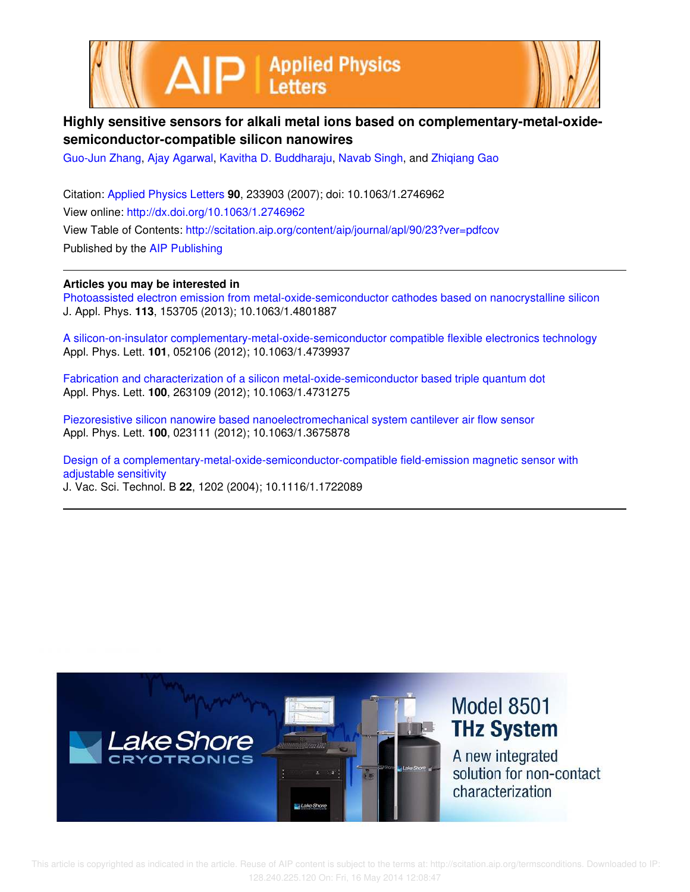



## **Highly sensitive sensors for alkali metal ions based on complementary-metal-oxidesemiconductor-compatible silicon nanowires**

Guo-Jun Zhang, Ajay Agarwal, Kavitha D. Buddharaju, Navab Singh, and Zhiqiang Gao

Citation: Applied Physics Letters **90**, 233903 (2007); doi: 10.1063/1.2746962 View online: http://dx.doi.org/10.1063/1.2746962 View Table of Contents: http://scitation.aip.org/content/aip/journal/apl/90/23?ver=pdfcov Published by the AIP Publishing

**Articles you may be interested in**

Photoassisted electron emission from metal-oxide-semiconductor cathodes based on nanocrystalline silicon J. Appl. Phys. **113**, 153705 (2013); 10.1063/1.4801887

A silicon-on-insulator complementary-metal-oxide-semiconductor compatible flexible electronics technology Appl. Phys. Lett. **101**, 052106 (2012); 10.1063/1.4739937

Fabrication and characterization of a silicon metal-oxide-semiconductor based triple quantum dot Appl. Phys. Lett. **100**, 263109 (2012); 10.1063/1.4731275

Piezoresistive silicon nanowire based nanoelectromechanical system cantilever air flow sensor Appl. Phys. Lett. **100**, 023111 (2012); 10.1063/1.3675878

Design of a complementary-metal-oxide-semiconductor-compatible field-emission magnetic sensor with adjustable sensitivity J. Vac. Sci. Technol. B **22**, 1202 (2004); 10.1116/1.1722089

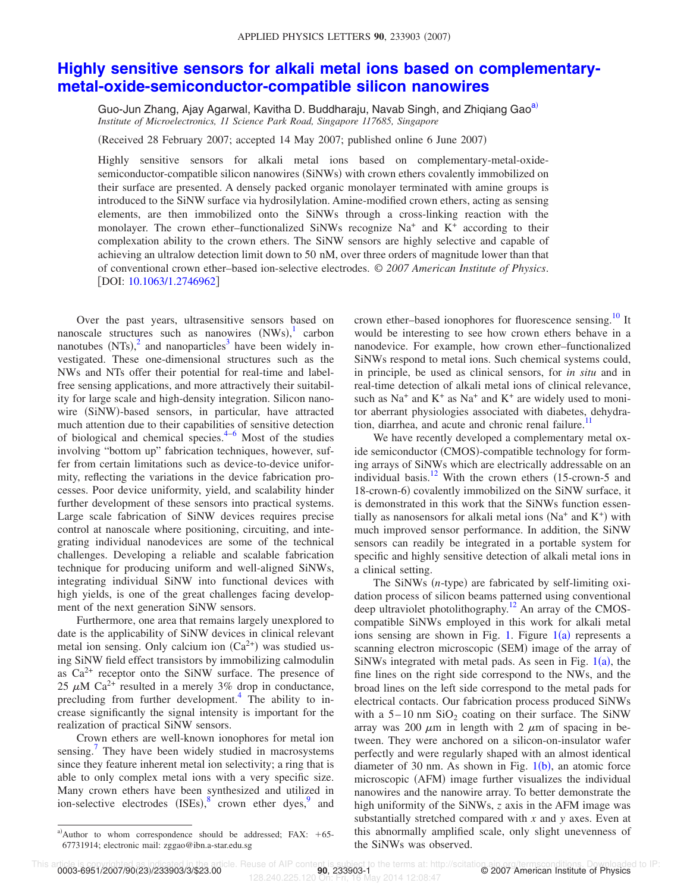## **Highly sensitive sensors for alkali metal ions based on complementarymetal-oxide-semiconductor-compatible silicon nanowires**

Guo-Jun Zhang, Ajay Agarwal, Kavitha D. Buddharaju, Navab Singh, and Zhigiang Gao<sup>a)</sup> *Institute of Microelectronics, 11 Science Park Road, Singapore 117685, Singapore*

Received 28 February 2007; accepted 14 May 2007; published online 6 June 2007-

Highly sensitive sensors for alkali metal ions based on complementary-metal-oxidesemiconductor-compatible silicon nanowires (SiNWs) with crown ethers covalently immobilized on their surface are presented. A densely packed organic monolayer terminated with amine groups is introduced to the SiNW surface via hydrosilylation. Amine-modified crown ethers, acting as sensing elements, are then immobilized onto the SiNWs through a cross-linking reaction with the monolayer. The crown ether-functionalized SiNWs recognize Na<sup>+</sup> and K<sup>+</sup> according to their complexation ability to the crown ethers. The SiNW sensors are highly selective and capable of achieving an ultralow detection limit down to 50 nM, over three orders of magnitude lower than that of conventional crown ether–based ion-selective electrodes. © *2007 American Institute of Physics*. [DOI: 10.1063/1.2746962]

Over the past years, ultrasensitive sensors based on nanoscale structures such as nanowires  $(NWs)$ , carbon nanotubes  $(NTs)<sup>2</sup>$  and nanoparticles<sup>3</sup> have been widely investigated. These one-dimensional structures such as the NWs and NTs offer their potential for real-time and labelfree sensing applications, and more attractively their suitability for large scale and high-density integration. Silicon nanowire (SiNW)-based sensors, in particular, have attracted much attention due to their capabilities of sensitive detection of biological and chemical species. $4-6$  Most of the studies involving "bottom up" fabrication techniques, however, suffer from certain limitations such as device-to-device uniformity, reflecting the variations in the device fabrication processes. Poor device uniformity, yield, and scalability hinder further development of these sensors into practical systems. Large scale fabrication of SiNW devices requires precise control at nanoscale where positioning, circuiting, and integrating individual nanodevices are some of the technical challenges. Developing a reliable and scalable fabrication technique for producing uniform and well-aligned SiNWs, integrating individual SiNW into functional devices with high yields, is one of the great challenges facing development of the next generation SiNW sensors.

Furthermore, one area that remains largely unexplored to date is the applicability of SiNW devices in clinical relevant metal ion sensing. Only calcium ion  $(Ca^{2+})$  was studied using SiNW field effect transistors by immobilizing calmodulin as  $Ca^{2+}$  receptor onto the SiNW surface. The presence of 25  $\mu$ M Ca<sup>2+</sup> resulted in a merely 3% drop in conductance, precluding from further development.<sup>4</sup> The ability to increase significantly the signal intensity is important for the realization of practical SiNW sensors.

Crown ethers are well-known ionophores for metal ion sensing.<sup>7</sup> They have been widely studied in macrosystems since they feature inherent metal ion selectivity; a ring that is able to only complex metal ions with a very specific size. Many crown ethers have been synthesized and utilized in ion-selective electrodes  $(ISEs)$ ,<sup>8</sup> crown ether dyes,<sup>9</sup> and

crown ether–based ionophores for fluorescence sensing.<sup>10</sup> It would be interesting to see how crown ethers behave in a nanodevice. For example, how crown ether–functionalized SiNWs respond to metal ions. Such chemical systems could, in principle, be used as clinical sensors, for *in situ* and in real-time detection of alkali metal ions of clinical relevance, such as  $Na<sup>+</sup>$  and  $K<sup>+</sup>$  as  $Na<sup>+</sup>$  and  $K<sup>+</sup>$  are widely used to monitor aberrant physiologies associated with diabetes, dehydration, diarrhea, and acute and chronic renal failure.<sup>1</sup>

We have recently developed a complementary metal oxide semiconductor (CMOS)-compatible technology for forming arrays of SiNWs which are electrically addressable on an individual basis.<sup>12</sup> With the crown ethers  $(15$ -crown-5 and 18-crown-6) covalently immobilized on the SiNW surface, it is demonstrated in this work that the SiNWs function essentially as nanosensors for alkali metal ions ( $Na<sup>+</sup>$  and  $K<sup>+</sup>$ ) with much improved sensor performance. In addition, the SiNW sensors can readily be integrated in a portable system for specific and highly sensitive detection of alkali metal ions in a clinical setting.

The SiNWs (*n*-type) are fabricated by self-limiting oxidation process of silicon beams patterned using conventional deep ultraviolet photolithography.<sup>12</sup> An array of the CMOScompatible SiNWs employed in this work for alkali metal ions sensing are shown in Fig. 1. Figure  $1(a)$  represents a scanning electron microscopic (SEM) image of the array of SiNWs integrated with metal pads. As seen in Fig.  $1(a)$ , the fine lines on the right side correspond to the NWs, and the broad lines on the left side correspond to the metal pads for electrical contacts. Our fabrication process produced SiNWs with a  $5-10$  nm  $SiO<sub>2</sub>$  coating on their surface. The SiNW array was 200  $\mu$ m in length with 2  $\mu$ m of spacing in between. They were anchored on a silicon-on-insulator wafer perfectly and were regularly shaped with an almost identical diameter of 30 nm. As shown in Fig.  $1(b)$ , an atomic force microscopic (AFM) image further visualizes the individual nanowires and the nanowire array. To better demonstrate the high uniformity of the SiNWs, *z* axis in the AFM image was substantially stretched compared with *x* and *y* axes. Even at this abnormally amplified scale, only slight unevenness of the SiNWs was observed.

a) Author to whom correspondence should be addressed; FAX:  $+65$ -67731914; electronic mail: zggao@ibn.a-star.edu.sg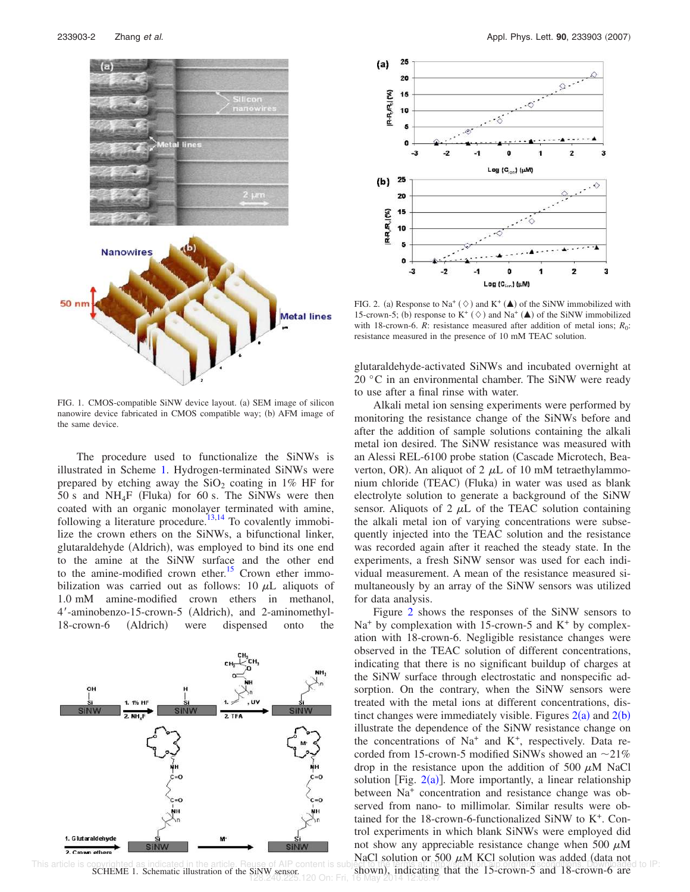

FIG. 1. CMOS-compatible SiNW device layout. (a) SEM image of silicon nanowire device fabricated in CMOS compatible way; (b) AFM image of the same device.

The procedure used to functionalize the SiNWs is illustrated in Scheme 1. Hydrogen-terminated SiNWs were prepared by etching away the  $SiO<sub>2</sub>$  coating in 1% HF for 50 s and  $NH_4F$  (Fluka) for 60 s. The SiNWs were then coated with an organic monolayer terminated with amine, following a literature procedure.<sup>13,14</sup> To covalently immobilize the crown ethers on the SiNWs, a bifunctional linker, glutaraldehyde (Aldrich), was employed to bind its one end to the amine at the SiNW surface and the other end to the amine-modified crown ether.<sup>15</sup> Crown ether immobilization was carried out as follows: 10  $\mu$ L aliquots of 1.0 mM amine-modified crown ethers in methanol, 4'-aminobenzo-15-crown-5 (Aldrich), and 2-aminomethyl-18-crown-6 (Aldrich) were dispensed onto the



This article is copyrighted as indicated in the article. Reuse of AIP content is subject to the principle of the production of the Single of AIP content is subject to the principle of the stress of straights of the stress SCHEME 1. Schematic illustration of the SiNW sensor. 128.240.225.120 On: Fri, 16 May 2014 12:08:47



FIG. 2. (a) Response to Na<sup>+</sup> ( $\diamond$ ) and K<sup>+</sup> ( $\triangle$ ) of the SiNW immobilized with 15-crown-5; (b) response to  $K^+$  ( $\diamond$ ) and Na<sup>+</sup> ( $\triangle$ ) of the SiNW immobilized with 18-crown-6.  $R$ : resistance measured after addition of metal ions;  $R_0$ : resistance measured in the presence of 10 mM TEAC solution.

glutaraldehyde-activated SiNWs and incubated overnight at 20 °C in an environmental chamber. The SiNW were ready to use after a final rinse with water.

Alkali metal ion sensing experiments were performed by monitoring the resistance change of the SiNWs before and after the addition of sample solutions containing the alkali metal ion desired. The SiNW resistance was measured with an Alessi REL-6100 probe station Cascade Microtech, Beaverton, OR). An aliquot of 2  $\mu$ L of 10 mM tetraethylammonium chloride (TEAC) (Fluka) in water was used as blank electrolyte solution to generate a background of the SiNW sensor. Aliquots of 2  $\mu$ L of the TEAC solution containing the alkali metal ion of varying concentrations were subsequently injected into the TEAC solution and the resistance was recorded again after it reached the steady state. In the experiments, a fresh SiNW sensor was used for each individual measurement. A mean of the resistance measured simultaneously by an array of the SiNW sensors was utilized for data analysis.

Figure 2 shows the responses of the SiNW sensors to  $Na<sup>+</sup>$  by complexation with 15-crown-5 and  $K<sup>+</sup>$  by complexation with 18-crown-6. Negligible resistance changes were observed in the TEAC solution of different concentrations, indicating that there is no significant buildup of charges at the SiNW surface through electrostatic and nonspecific adsorption. On the contrary, when the SiNW sensors were treated with the metal ions at different concentrations, distinct changes were immediately visible. Figures  $2(a)$  and  $2(b)$ illustrate the dependence of the SiNW resistance change on the concentrations of Na<sup>+</sup> and K<sup>+</sup>, respectively. Data recorded from 15-crown-5 modified SiNWs showed an  $\sim$ 21% drop in the resistance upon the addition of 500  $\mu$ M NaCl solution [Fig.  $2(a)$ ]. More importantly, a linear relationship between Na<sup>+</sup> concentration and resistance change was observed from nano- to millimolar. Similar results were obtained for the 18-crown-6-functionalized SiNW to K<sup>+</sup>. Control experiments in which blank SiNWs were employed did not show any appreciable resistance change when 500  $\mu$ M NaCl solution or 500  $\mu$ M KCl solution was added (data not